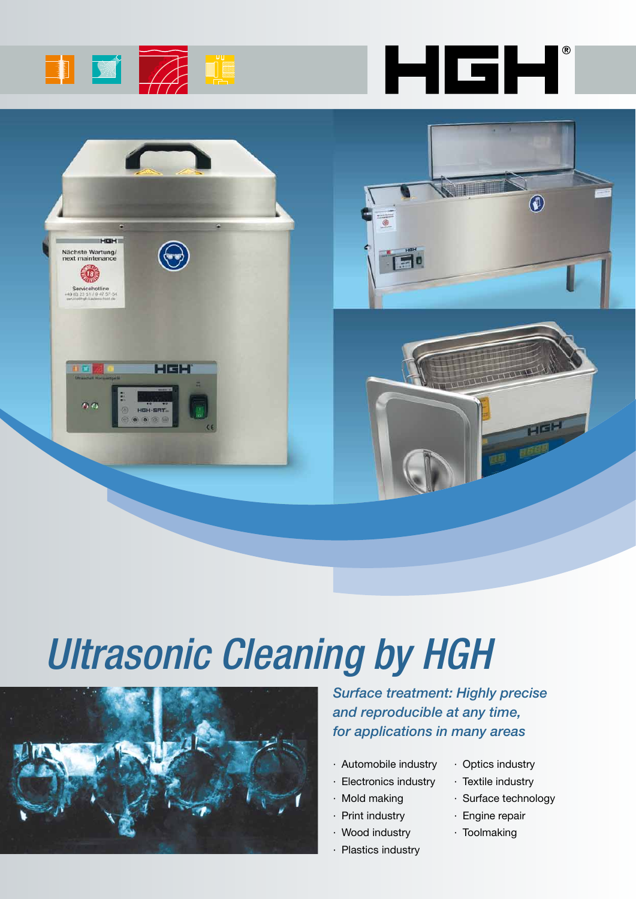





# *Ultrasonic Cleaning by HGH*



*Surface treatment: Highly precise and reproducible at any time, for applications in many areas* 

- · Automobile industry
- · Electronics industry
- · Mold making
- · Print industry
- · Wood industry
- · Plastics industry
- · Optics industry
- · Textile industry
- · Surface technology
- · Engine repair
- · Toolmaking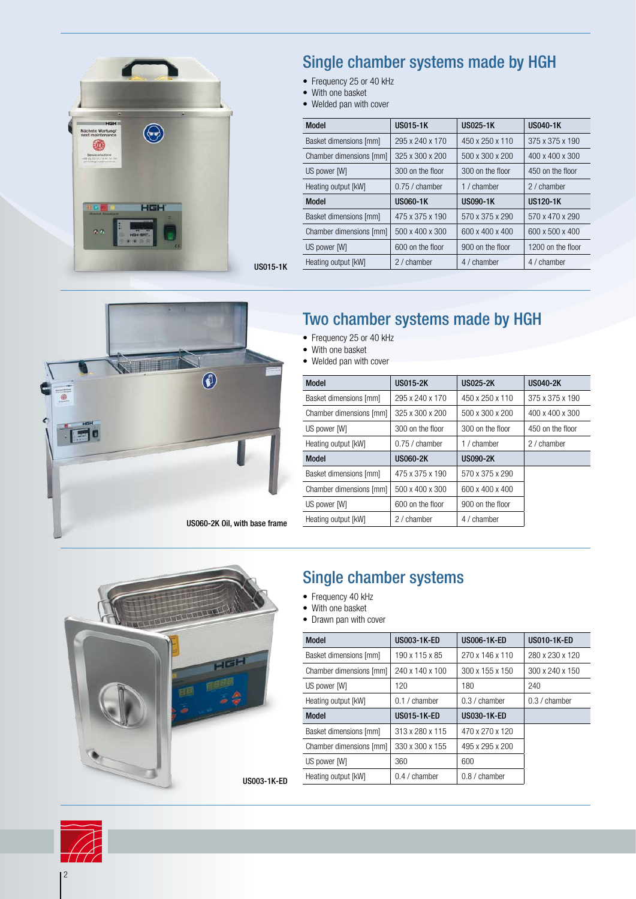

## Single chamber systems made by HGH

- Frequency 25 or 40 kHz
- With one basket
- Welded pan with cover

| <b>Model</b>            | <b>US015-1K</b>  | <b>US025-1K</b>  | <b>US040-1K</b>   |  |
|-------------------------|------------------|------------------|-------------------|--|
| Basket dimensions [mm]  | 295 x 240 x 170  | 450 x 250 x 110  | 375 x 375 x 190   |  |
| Chamber dimensions [mm] | 325 x 300 x 200  | 500 x 300 x 200  | 400 x 400 x 300   |  |
| US power [W]            | 300 on the floor | 300 on the floor | 450 on the floor  |  |
| Heating output [kW]     | $0.75/$ chamber  | 1 / chamber      | 2 / chamber       |  |
| Model                   | <b>US060-1K</b>  | US090-1K         | <b>US120-1K</b>   |  |
| Basket dimensions [mm]  | 475 x 375 x 190  | 570 x 375 x 290  | 570 x 470 x 290   |  |
| Chamber dimensions [mm] | 500 x 400 x 300  | 600 x 400 x 400  | 600 x 500 x 400   |  |
| US power [W]            | 600 on the floor | 900 on the floor | 1200 on the floor |  |
| Heating output [kW]     | 2 / chamber      | 4 / chamber      | 4 / chamber       |  |



# Two chamber systems made by HGH

- Frequency 25 or 40 kHz
- With one basket

US015-1K

• Welded pan with cover

| <b>US015-2K</b>  | <b>US025-2K</b>  | <b>US040-2K</b>  |  |
|------------------|------------------|------------------|--|
| 295 x 240 x 170  | 450 x 250 x 110  | 375 x 375 x 190  |  |
| 325 x 300 x 200  | 500 x 300 x 200  | 400 x 400 x 300  |  |
| 300 on the floor | 300 on the floor | 450 on the floor |  |
| $0.75/$ chamber  | 1 / chamber      | 2 / chamber      |  |
| <b>US060-2K</b>  | <b>US090-2K</b>  |                  |  |
| 475 x 375 x 190  | 570 x 375 x 290  |                  |  |
| 500 x 400 x 300  | 600 x 400 x 400  |                  |  |
| 600 on the floor | 900 on the floor |                  |  |
| 2 / chamber      | 4 / chamber      |                  |  |
|                  |                  |                  |  |



## Single chamber systems

- Frequency 40 kHz
- With one basket
- Drawn pan with cover

| <b>Model</b>            | <b>US003-1K-ED</b> | <b>US006-1K-ED</b> | <b>US010-1K-ED</b> |
|-------------------------|--------------------|--------------------|--------------------|
| Basket dimensions [mm]  | 190 x 115 x 85     | 270 x 146 x 110    | 280 x 230 x 120    |
| Chamber dimensions [mm] | 240 x 140 x 100    | 300 x 155 x 150    | 300 x 240 x 150    |
| US power [W]            | 120                | 180                | 240                |
| Heating output [kW]     | $0.1/$ chamber     | 0.3 / chamber      | $0.3/$ chamber     |
|                         |                    |                    |                    |
| <b>Model</b>            | <b>US015-1K-ED</b> | <b>US030-1K-ED</b> |                    |
| Basket dimensions [mm]  | 313 x 280 x 115    | 470 x 270 x 120    |                    |
| Chamber dimensions [mm] | 330 x 300 x 155    | 495 x 295 x 200    |                    |
| US power [W]            | 360                | 600                |                    |

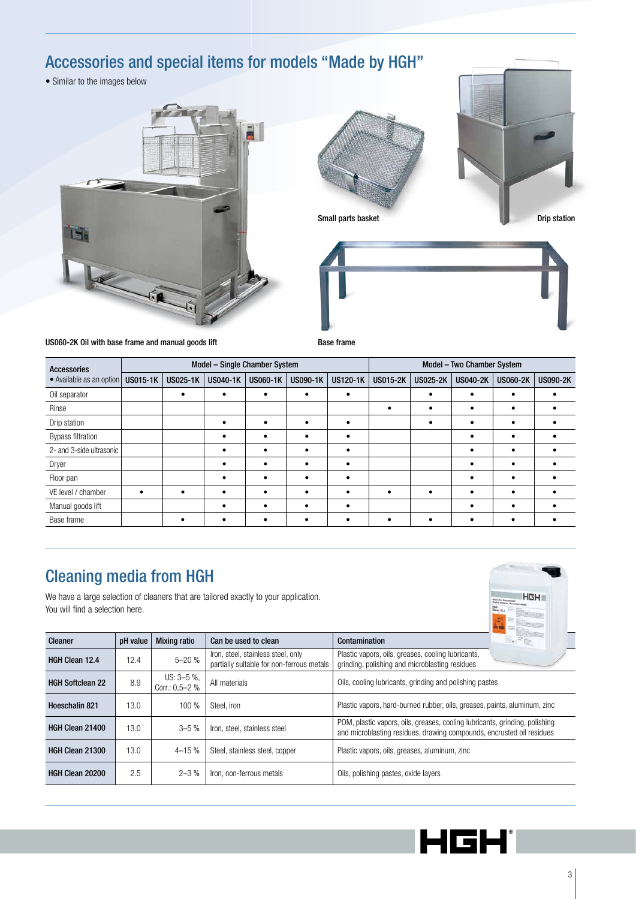# Accessories and special items for models "Made by HGH"

• Similar to the images below









US060-2K Oil with base frame and manual goods lift Base frame

| <b>Accessories</b>       | Model - Single Chamber System |                 |                 |                 |          | Model - Two Chamber System |                 |                 |                 |                 |                 |
|--------------------------|-------------------------------|-----------------|-----------------|-----------------|----------|----------------------------|-----------------|-----------------|-----------------|-----------------|-----------------|
| · Available as an option | <b>US015-1K</b>               | <b>US025-1K</b> | <b>US040-1K</b> | <b>US060-1K</b> | US090-1K | <b>US120-1K</b>            | <b>US015-2K</b> | <b>US025-2K</b> | <b>US040-2K</b> | <b>US060-2K</b> | <b>US090-2K</b> |
| Oil separator            |                               | ٠               | $\bullet$       | ٠               | ٠        |                            |                 | ٠               |                 |                 |                 |
| Rinse                    |                               |                 |                 |                 |          |                            |                 |                 |                 |                 |                 |
| Drip station             |                               |                 |                 | ٠               | ٠        |                            |                 |                 |                 |                 |                 |
| <b>Bypass filtration</b> |                               |                 |                 |                 | ٠        |                            |                 |                 |                 |                 |                 |
| 2- and 3-side ultrasonic |                               |                 |                 |                 |          |                            |                 |                 |                 |                 |                 |
| Dryer                    |                               |                 |                 |                 |          |                            |                 |                 |                 |                 |                 |
| Floor pan                |                               |                 |                 |                 |          |                            |                 |                 |                 |                 |                 |
| VE level / chamber       |                               |                 |                 |                 |          |                            |                 |                 |                 |                 |                 |
| Manual goods lift        |                               |                 |                 |                 |          |                            |                 |                 |                 |                 |                 |
| Base frame               |                               |                 |                 |                 |          |                            |                 |                 |                 |                 |                 |

## Cleaning media from HGH

We have a large selection of cleaners that are tailored exactly to your application. You will find a selection here.



| Cleaner                 | pH value | <b>Mixing ratio</b>                 | Can be used to clean                                                            | Contamination                                                                                                                                        |  |  |
|-------------------------|----------|-------------------------------------|---------------------------------------------------------------------------------|------------------------------------------------------------------------------------------------------------------------------------------------------|--|--|
| <b>HGH Clean 12.4</b>   | 12.4     | $5 - 20%$                           | Iron, steel, stainless steel, only<br>partially suitable for non-ferrous metals | Plastic vapors, oils, greases, cooling lubricants,<br>grinding, polishing and microblasting residues                                                 |  |  |
| <b>HGH Softclean 22</b> | 8.9      | $US: 3-5$ %.<br>Corr.: $0.5 - 2 \%$ | All materials                                                                   | Oils, cooling lubricants, grinding and polishing pastes                                                                                              |  |  |
| Hoeschalin 821          | 13.0     | 100 %                               | Steel. iron                                                                     | Plastic vapors, hard-burned rubber, oils, greases, paints, aluminum, zinc                                                                            |  |  |
| HGH Clean 21400         | 13.0     | $3 - 5%$                            | Iron, steel, stainless steel                                                    | POM, plastic vapors, oils, greases, cooling lubricants, grinding, polishing<br>and microblasting residues, drawing compounds, encrusted oil residues |  |  |
| <b>HGH Clean 21300</b>  | 13.0     | $4 - 15%$                           | Steel, stainless steel, copper                                                  | Plastic vapors, oils, greases, aluminum, zinc                                                                                                        |  |  |
| HGH Clean 20200         | 2.5      | $2 - 3\%$                           | Iron, non-ferrous metals                                                        | Oils, polishing pastes, oxide layers                                                                                                                 |  |  |